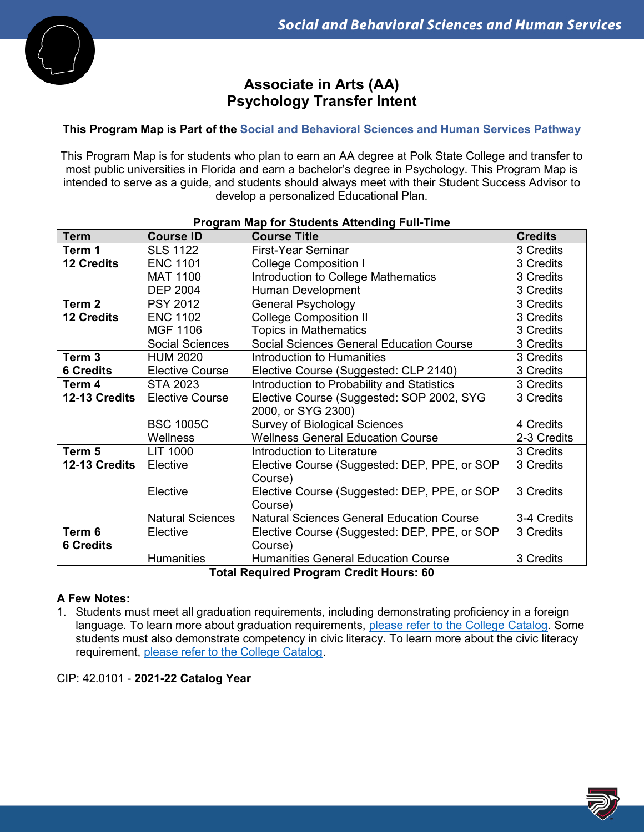

# **Associate in Arts (AA) Psychology Transfer Intent**

## **This Program Map is Part of the Social and Behavioral Sciences and Human Services Pathway**

This Program Map is for students who plan to earn an AA degree at Polk State College and transfer to most public universities in Florida and earn a bachelor's degree in Psychology. This Program Map is intended to serve as a guide, and students should always meet with their Student Success Advisor to develop a personalized Educational Plan.

| <b>Program Map for Students Attending Full-Time</b> |                         |                                                  |                |  |
|-----------------------------------------------------|-------------------------|--------------------------------------------------|----------------|--|
| <b>Term</b>                                         | <b>Course ID</b>        | <b>Course Title</b>                              | <b>Credits</b> |  |
| Term 1                                              | <b>SLS 1122</b>         | First-Year Seminar                               | 3 Credits      |  |
| <b>12 Credits</b>                                   | <b>ENC 1101</b>         | <b>College Composition I</b>                     | 3 Credits      |  |
|                                                     | <b>MAT 1100</b>         | Introduction to College Mathematics              | 3 Credits      |  |
|                                                     | <b>DEP 2004</b>         | Human Development                                | 3 Credits      |  |
| Term 2                                              | <b>PSY 2012</b>         | <b>General Psychology</b>                        | 3 Credits      |  |
| <b>12 Credits</b>                                   | <b>ENC 1102</b>         | <b>College Composition II</b>                    | 3 Credits      |  |
|                                                     | MGF 1106                | <b>Topics in Mathematics</b>                     | 3 Credits      |  |
|                                                     | <b>Social Sciences</b>  | Social Sciences General Education Course         | 3 Credits      |  |
| Term <sub>3</sub>                                   | <b>HUM 2020</b>         | Introduction to Humanities                       | 3 Credits      |  |
| <b>6 Credits</b>                                    | <b>Elective Course</b>  | Elective Course (Suggested: CLP 2140)            | 3 Credits      |  |
| Term 4                                              | <b>STA 2023</b>         | Introduction to Probability and Statistics       | 3 Credits      |  |
| 12-13 Credits                                       | <b>Elective Course</b>  | Elective Course (Suggested: SOP 2002, SYG        | 3 Credits      |  |
|                                                     |                         | 2000, or SYG 2300)                               |                |  |
|                                                     | <b>BSC 1005C</b>        | <b>Survey of Biological Sciences</b>             | 4 Credits      |  |
|                                                     | Wellness                | <b>Wellness General Education Course</b>         | 2-3 Credits    |  |
| Term 5                                              | LIT 1000                | Introduction to Literature                       | 3 Credits      |  |
| 12-13 Credits                                       | Elective                | Elective Course (Suggested: DEP, PPE, or SOP     | 3 Credits      |  |
|                                                     |                         | Course)                                          |                |  |
|                                                     | Elective                | Elective Course (Suggested: DEP, PPE, or SOP     | 3 Credits      |  |
|                                                     |                         | Course)                                          |                |  |
|                                                     | <b>Natural Sciences</b> | <b>Natural Sciences General Education Course</b> | 3-4 Credits    |  |
| Term 6                                              | Elective                | Elective Course (Suggested: DEP, PPE, or SOP     | 3 Credits      |  |
| <b>6 Credits</b>                                    |                         | Course)                                          |                |  |
|                                                     | <b>Humanities</b>       | <b>Humanities General Education Course</b>       | 3 Credits      |  |
| Total Required Program Credit Houre: 60             |                         |                                                  |                |  |

**Total Required Program Credit Hours: 60**

#### **A Few Notes:**

1. Students must meet all graduation requirements, including demonstrating proficiency in a foreign language. To learn more about graduation requirements, [please refer to the College Catalog.](http://catalog.polk.edu/content.php?catoid=40&navoid=2766) Some students must also demonstrate competency in civic literacy. To learn more about the civic literacy requirement, [please refer to the College Catalog.](http://catalog.polk.edu/content.php?catoid=40&navoid=2781)

CIP: 42.0101 - **2021-22 Catalog Year**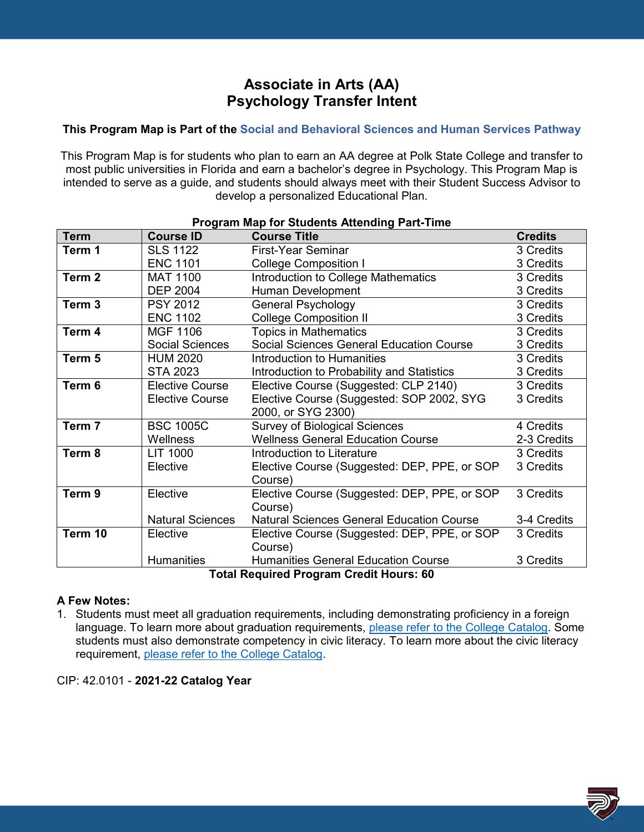# **Associate in Arts (AA) Psychology Transfer Intent**

## **This Program Map is Part of the Social and Behavioral Sciences and Human Services Pathway**

This Program Map is for students who plan to earn an AA degree at Polk State College and transfer to most public universities in Florida and earn a bachelor's degree in Psychology. This Program Map is intended to serve as a guide, and students should always meet with their Student Success Advisor to develop a personalized Educational Plan.

| Program Map for Students Attending Part-Time   |                         |                                                  |                |  |
|------------------------------------------------|-------------------------|--------------------------------------------------|----------------|--|
| <b>Term</b>                                    | <b>Course ID</b>        | <b>Course Title</b>                              | <b>Credits</b> |  |
| Term 1                                         | <b>SLS 1122</b>         | First-Year Seminar                               | 3 Credits      |  |
|                                                | <b>ENC 1101</b>         | <b>College Composition I</b>                     | 3 Credits      |  |
| Term <sub>2</sub>                              | <b>MAT 1100</b>         | Introduction to College Mathematics              | 3 Credits      |  |
|                                                | <b>DEP 2004</b>         | Human Development                                | 3 Credits      |  |
| Term <sub>3</sub>                              | <b>PSY 2012</b>         | <b>General Psychology</b>                        | 3 Credits      |  |
|                                                | <b>ENC 1102</b>         | <b>College Composition II</b>                    | 3 Credits      |  |
| Term 4                                         | MGF 1106                | <b>Topics in Mathematics</b>                     | 3 Credits      |  |
|                                                | <b>Social Sciences</b>  | Social Sciences General Education Course         | 3 Credits      |  |
| Term 5                                         | <b>HUM 2020</b>         | Introduction to Humanities                       | 3 Credits      |  |
|                                                | <b>STA 2023</b>         | Introduction to Probability and Statistics       | 3 Credits      |  |
| Term 6                                         | <b>Elective Course</b>  | Elective Course (Suggested: CLP 2140)            | 3 Credits      |  |
|                                                | <b>Elective Course</b>  | Elective Course (Suggested: SOP 2002, SYG        | 3 Credits      |  |
|                                                |                         | 2000, or SYG 2300)                               |                |  |
| Term 7                                         | <b>BSC 1005C</b>        | <b>Survey of Biological Sciences</b>             | 4 Credits      |  |
|                                                | Wellness                | <b>Wellness General Education Course</b>         | 2-3 Credits    |  |
| Term 8                                         | <b>LIT 1000</b>         | Introduction to Literature                       | 3 Credits      |  |
|                                                | Elective                | Elective Course (Suggested: DEP, PPE, or SOP     | 3 Credits      |  |
|                                                |                         | Course)                                          |                |  |
| Term <sub>9</sub>                              | Elective                | Elective Course (Suggested: DEP, PPE, or SOP     | 3 Credits      |  |
|                                                |                         | Course)                                          |                |  |
|                                                | <b>Natural Sciences</b> | <b>Natural Sciences General Education Course</b> | 3-4 Credits    |  |
| Term 10                                        | Elective                | Elective Course (Suggested: DEP, PPE, or SOP     | 3 Credits      |  |
|                                                |                         | Course)                                          |                |  |
|                                                | <b>Humanities</b>       | <b>Humanities General Education Course</b>       | 3 Credits      |  |
| <b>Total Required Program Credit Hours: 60</b> |                         |                                                  |                |  |

### **A Few Notes:**

1. Students must meet all graduation requirements, including demonstrating proficiency in a foreign language. To learn more about graduation requirements, [please refer to the College Catalog.](http://catalog.polk.edu/content.php?catoid=40&navoid=2766) Some students must also demonstrate competency in civic literacy. To learn more about the civic literacy requirement, [please refer to the College Catalog.](http://catalog.polk.edu/content.php?catoid=40&navoid=2781)

CIP: 42.0101 - **2021-22 Catalog Year**